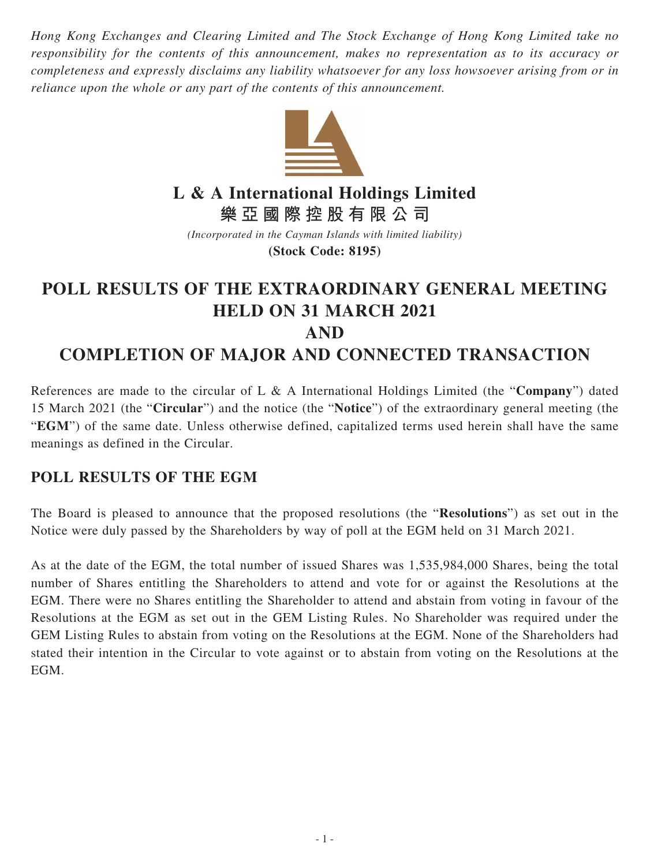*Hong Kong Exchanges and Clearing Limited and The Stock Exchange of Hong Kong Limited take no responsibility for the contents of this announcement, makes no representation as to its accuracy or completeness and expressly disclaims any liability whatsoever for any loss howsoever arising from or in reliance upon the whole or any part of the contents of this announcement.*



**L & A International Holdings Limited**

**樂亞國際控股有限公司**

*(Incorporated in the Cayman Islands with limited liability)* **(Stock Code: 8195)**

## **POLL RESULTS OF THE EXTRAORDINARY GENERAL MEETING HELD ON 31 MARCH 2021 AND COMPLETION OF MAJOR AND CONNECTED TRANSACTION**

References are made to the circular of L & A International Holdings Limited (the "**Company**") dated 15 March 2021 (the "**Circular**") and the notice (the "**Notice**") of the extraordinary general meeting (the "**EGM**") of the same date. Unless otherwise defined, capitalized terms used herein shall have the same meanings as defined in the Circular.

## **POLL RESULTS OF THE EGM**

The Board is pleased to announce that the proposed resolutions (the "**Resolutions**") as set out in the Notice were duly passed by the Shareholders by way of poll at the EGM held on 31 March 2021.

As at the date of the EGM, the total number of issued Shares was 1,535,984,000 Shares, being the total number of Shares entitling the Shareholders to attend and vote for or against the Resolutions at the EGM. There were no Shares entitling the Shareholder to attend and abstain from voting in favour of the Resolutions at the EGM as set out in the GEM Listing Rules. No Shareholder was required under the GEM Listing Rules to abstain from voting on the Resolutions at the EGM. None of the Shareholders had stated their intention in the Circular to vote against or to abstain from voting on the Resolutions at the EGM.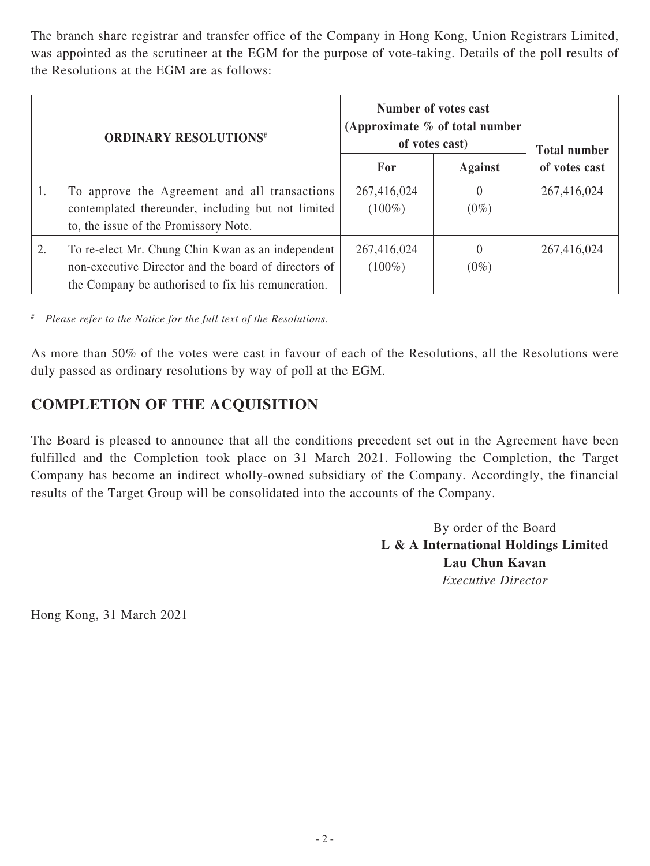The branch share registrar and transfer office of the Company in Hong Kong, Union Registrars Limited, was appointed as the scrutineer at the EGM for the purpose of vote-taking. Details of the poll results of the Resolutions at the EGM are as follows:

| <b>ORDINARY RESOLUTIONS#</b> |                                                                                                                                                                 | Number of votes cast<br>(Approximate $%$ of total number<br>of votes cast) |                     | <b>Total number</b> |
|------------------------------|-----------------------------------------------------------------------------------------------------------------------------------------------------------------|----------------------------------------------------------------------------|---------------------|---------------------|
|                              |                                                                                                                                                                 | For                                                                        | <b>Against</b>      | of votes cast       |
| 1.                           | To approve the Agreement and all transactions<br>contemplated thereunder, including but not limited<br>to, the issue of the Promissory Note.                    | 267,416,024<br>$(100\%)$                                                   | $\theta$<br>$(0\%)$ | 267,416,024         |
| 2.                           | To re-elect Mr. Chung Chin Kwan as an independent<br>non-executive Director and the board of directors of<br>the Company be authorised to fix his remuneration. | 267,416,024<br>$(100\%)$                                                   | $\theta$<br>$(0\%)$ | 267,416,024         |

*# Please refer to the Notice for the full text of the Resolutions.*

As more than 50% of the votes were cast in favour of each of the Resolutions, all the Resolutions were duly passed as ordinary resolutions by way of poll at the EGM.

## **COMPLETION OF THE ACQUISITION**

The Board is pleased to announce that all the conditions precedent set out in the Agreement have been fulfilled and the Completion took place on 31 March 2021. Following the Completion, the Target Company has become an indirect wholly-owned subsidiary of the Company. Accordingly, the financial results of the Target Group will be consolidated into the accounts of the Company.

> By order of the Board **L & A International Holdings Limited Lau Chun Kavan** *Executive Director*

Hong Kong, 31 March 2021